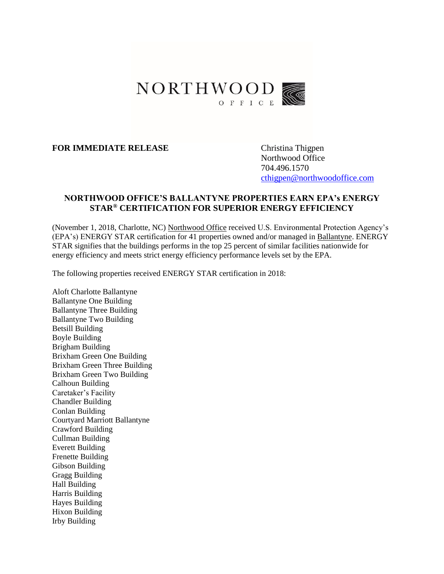

## **FOR IMMEDIATE RELEASE** Christina Thigpen

Northwood Office 704.496.1570 [cthigpen@northwoodoffice.com](mailto:cthigpen@northwoodoffice.com)

## **NORTHWOOD OFFICE'S BALLANTYNE PROPERTIES EARN EPA's ENERGY STAR® CERTIFICATION FOR SUPERIOR ENERGY EFFICIENCY**

(November 1, 2018, Charlotte, NC) [Northwood Office](https://www.northwoodoffice.com/) received U.S. Environmental Protection Agency's (EPA's) ENERGY STAR certification for 41 properties owned and/or managed in [Ballantyne.](https://www.ballantynecorporate.com/) ENERGY STAR signifies that the buildings performs in the top 25 percent of similar facilities nationwide for energy efficiency and meets strict energy efficiency performance levels set by the EPA.

The following properties received ENERGY STAR certification in 2018:

Aloft Charlotte Ballantyne Ballantyne One Building Ballantyne Three Building Ballantyne Two Building Betsill Building Boyle Building Brigham Building Brixham Green One Building Brixham Green Three Building Brixham Green Two Building Calhoun Building Caretaker's Facility Chandler Building Conlan Building Courtyard Marriott Ballantyne Crawford Building Cullman Building Everett Building Frenette Building Gibson Building Gragg Building Hall Building Harris Building Hayes Building Hixon Building Irby Building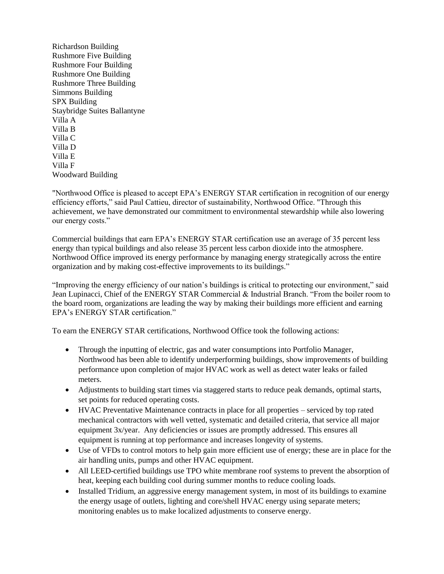Richardson Building Rushmore Five Building Rushmore Four Building Rushmore One Building Rushmore Three Building Simmons Building SPX Building Staybridge Suites Ballantyne Villa A Villa B Villa C Villa D Villa E Villa F Woodward Building

"Northwood Office is pleased to accept EPA's ENERGY STAR certification in recognition of our energy efficiency efforts," said Paul Cattieu, director of sustainability, Northwood Office. "Through this achievement, we have demonstrated our commitment to environmental stewardship while also lowering our energy costs."

Commercial buildings that earn EPA's ENERGY STAR certification use an average of 35 percent less energy than typical buildings and also release 35 percent less carbon dioxide into the atmosphere. Northwood Office improved its energy performance by managing energy strategically across the entire organization and by making cost-effective improvements to its buildings."

"Improving the energy efficiency of our nation's buildings is critical to protecting our environment," said Jean Lupinacci, Chief of the ENERGY STAR Commercial & Industrial Branch. "From the boiler room to the board room, organizations are leading the way by making their buildings more efficient and earning EPA's ENERGY STAR certification."

To earn the ENERGY STAR certifications, Northwood Office took the following actions:

- Through the inputting of electric, gas and water consumptions into Portfolio Manager, Northwood has been able to identify underperforming buildings, show improvements of building performance upon completion of major HVAC work as well as detect water leaks or failed meters.
- Adjustments to building start times via staggered starts to reduce peak demands, optimal starts, set points for reduced operating costs.
- HVAC Preventative Maintenance contracts in place for all properties serviced by top rated mechanical contractors with well vetted, systematic and detailed criteria, that service all major equipment 3x/year. Any deficiencies or issues are promptly addressed. This ensures all equipment is running at top performance and increases longevity of systems.
- Use of VFDs to control motors to help gain more efficient use of energy; these are in place for the air handling units, pumps and other HVAC equipment.
- All LEED-certified buildings use TPO white membrane roof systems to prevent the absorption of heat, keeping each building cool during summer months to reduce cooling loads.
- Installed Tridium, an aggressive energy management system, in most of its buildings to examine the energy usage of outlets, lighting and core/shell HVAC energy using separate meters; monitoring enables us to make localized adjustments to conserve energy.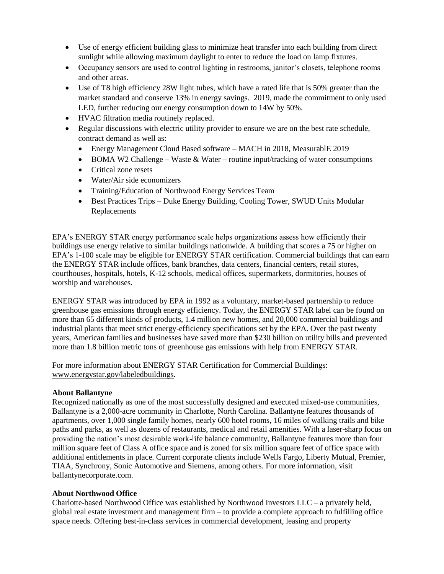- Use of energy efficient building glass to minimize heat transfer into each building from direct sunlight while allowing maximum daylight to enter to reduce the load on lamp fixtures.
- Occupancy sensors are used to control lighting in restrooms, janitor's closets, telephone rooms and other areas.
- Use of T8 high efficiency 28W light tubes, which have a rated life that is 50% greater than the market standard and conserve 13% in energy savings. 2019, made the commitment to only used LED, further reducing our energy consumption down to 14W by 50%.
- HVAC filtration media routinely replaced.
- Regular discussions with electric utility provider to ensure we are on the best rate schedule, contract demand as well as:
	- Energy Management Cloud Based software MACH in 2018, MeasurablE 2019
	- BOMA W2 Challenge Waste & Water routine input/tracking of water consumptions
	- Critical zone resets
	- Water/Air side economizers
	- Training/Education of Northwood Energy Services Team
	- Best Practices Trips Duke Energy Building, Cooling Tower, SWUD Units Modular Replacements

EPA's ENERGY STAR energy performance scale helps organizations assess how efficiently their buildings use energy relative to similar buildings nationwide. A building that scores a 75 or higher on EPA's 1-100 scale may be eligible for ENERGY STAR certification. Commercial buildings that can earn the ENERGY STAR include offices, bank branches, data centers, financial centers, retail stores, courthouses, hospitals, hotels, K-12 schools, medical offices, supermarkets, dormitories, houses of worship and warehouses.

ENERGY STAR was introduced by EPA in 1992 as a voluntary, market-based partnership to reduce greenhouse gas emissions through energy efficiency. Today, the ENERGY STAR label can be found on more than 65 different kinds of products, 1.4 million new homes, and 20,000 commercial buildings and industrial plants that meet strict energy-efficiency specifications set by the EPA. Over the past twenty years, American families and businesses have saved more than \$230 billion on utility bills and prevented more than 1.8 billion metric tons of greenhouse gas emissions with help from ENERGY STAR.

For more information about ENERGY STAR Certification for Commercial Buildings: [www.energystar.gov/labeledbuildings.](http://www.energystar.gov/index.cfm?c=business.bus_bldgs)

## **About Ballantyne**

Recognized nationally as one of the most successfully designed and executed mixed-use communities, Ballantyne is a 2,000-acre community in Charlotte, North Carolina. Ballantyne features thousands of apartments, over 1,000 single family homes, nearly 600 hotel rooms, 16 miles of walking trails and bike paths and parks, as well as dozens of restaurants, medical and retail amenities. With a laser-sharp focus on providing the nation's most desirable work-life balance community, Ballantyne features more than four million square feet of Class A office space and is zoned for six million square feet of office space with additional entitlements in place. Current corporate clients include Wells Fargo, Liberty Mutual, Premier, TIAA, Synchrony, Sonic Automotive and Siemens, among others. For more information, visit [ballantynecorporate.com.](http://www.balllantynecorporate.com/)

## **About Northwood Office**

Charlotte-based Northwood Office was established by Northwood Investors LLC – a privately held, global real estate investment and management firm – to provide a complete approach to fulfilling office space needs. Offering best-in-class services in commercial development, leasing and property